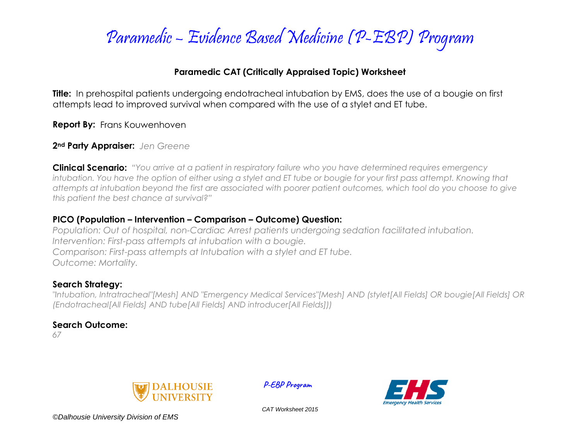

### **Paramedic CAT (Critically Appraised Topic) Worksheet**

**Title:** In prehospital patients undergoing endotracheal intubation by EMS, does the use of a bougie on first attempts lead to improved survival when compared with the use of a stylet and ET tube.

**Report By:** Frans Kouwenhoven

**2nd Party Appraiser:** *Jen Greene*

**Clinical Scenario:** *"You arrive at a patient in respiratory failure who you have determined requires emergency intubation. You have the option of either using a stylet and ET tube or bougie for your first pass attempt. Knowing that attempts at intubation beyond the first are associated with poorer patient outcomes, which tool do you choose to give this patient the best chance at survival?"*

### **PICO (Population – Intervention – Comparison – Outcome) Question:**

*Population: Out of hospital, non-Cardiac Arrest patients undergoing sedation facilitated intubation. Intervention: First-pass attempts at intubation with a bougie. Comparison: First-pass attempts at Intubation with a stylet and ET tube. Outcome: Mortality.*

### **Search Strategy:**

*"Intubation, Intratracheal"[Mesh] AND "Emergency Medical Services"[Mesh] AND (stylet[All Fields] OR bougie[All Fields] OR (Endotracheal[All Fields] AND tube[All Fields] AND introducer[All Fields]))*

### **Search Outcome:**

*67*



 **P-EBP Program**



*CAT Worksheet 2015*

*©Dalhousie University Division of EMS*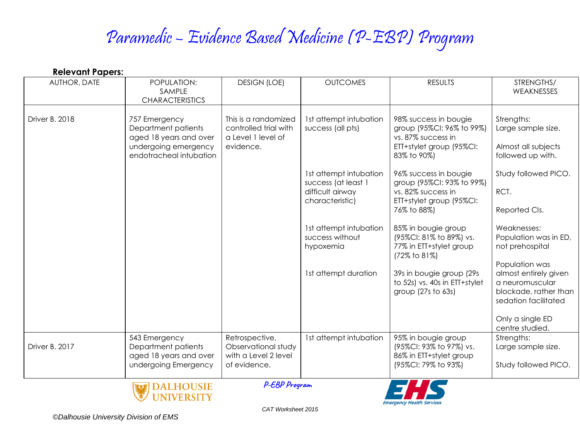# Paramedic – Evidence Based Medicine (P-EBP) Program

| <b>Relevant Papers:</b> |                                                                                                                   |                                                                                  |                                                                                      |                                                                                                                     |                                                                                                             |  |  |  |
|-------------------------|-------------------------------------------------------------------------------------------------------------------|----------------------------------------------------------------------------------|--------------------------------------------------------------------------------------|---------------------------------------------------------------------------------------------------------------------|-------------------------------------------------------------------------------------------------------------|--|--|--|
| AUTHOR, DATE            | POPULATION:<br>SAMPLE<br><b>CHARACTERISTICS</b>                                                                   | <b>DESIGN (LOE)</b>                                                              | <b>OUTCOMES</b>                                                                      | <b>RESULTS</b>                                                                                                      | STRENGTHS/<br>WEAKNESSES                                                                                    |  |  |  |
| Driver B. 2018          | 757 Emergency<br>Department patients<br>aged 18 years and over<br>undergoing emergency<br>endotracheal intubation | This is a randomized<br>controlled trial with<br>a Level 1 level of<br>evidence. | 1st attempt intubation<br>success (all pts)                                          | 98% success in bougie<br>group (95%CI: 96% to 99%)<br>vs. 87% success in<br>ETT+stylet group (95%CI:<br>83% to 90%) | Strengths:<br>Large sample size.<br>Almost all subjects<br>followed up with.                                |  |  |  |
|                         |                                                                                                                   |                                                                                  | 1st attempt intubation<br>success (at least 1<br>difficult airway<br>characteristic) | 96% success in bougie<br>group (95%CI: 93% to 99%)<br>vs. 82% success in<br>ETT+stylet group (95%CI:<br>76% to 88%) | Study followed PICO.<br>RCT.<br>Reported Cls.                                                               |  |  |  |
|                         |                                                                                                                   |                                                                                  | 1st attempt intubation<br>success without<br>hypoxemia                               | 85% in bougie group<br>(95%CI: 81% to 89%) vs.<br>77% in ETT+stylet group<br>(72% to 81%)                           | Weaknesses:<br>Population was in ED,<br>not prehospital                                                     |  |  |  |
|                         |                                                                                                                   |                                                                                  | 1st attempt duration                                                                 | 39s in bougie group (29s<br>to 52s) vs. 40s in ETT+stylet<br>group (27s to 63s)                                     | Population was<br>almost entirely given<br>a neuromuscular<br>blockade, rather than<br>sedation facilitated |  |  |  |
|                         |                                                                                                                   |                                                                                  |                                                                                      |                                                                                                                     | Only a single ED<br>centre studied.                                                                         |  |  |  |
| Driver B. 2017          | 543 Emergency<br>Department patients<br>aged 18 years and over<br>undergoing Emergency                            | Retrospective,<br>Observational study<br>with a Level 2 level<br>of evidence.    | Ist attempt intubation                                                               | 95% in bougie group<br>(95%CI: 93% to 97%) vs.<br>86% in ETT+stylet group<br>(95%CI: 79% to 93%)                    | Strengths:<br>Large sample size.<br>Study followed PICO.                                                    |  |  |  |
|                         | <b>DALHOUSIE</b><br><b>NIVERSITY</b>                                                                              | P-EBP Program                                                                    |                                                                                      | Emergency Health Service                                                                                            |                                                                                                             |  |  |  |

*©Dalhousie University Division of EMS*

*CAT Worksheet 2015*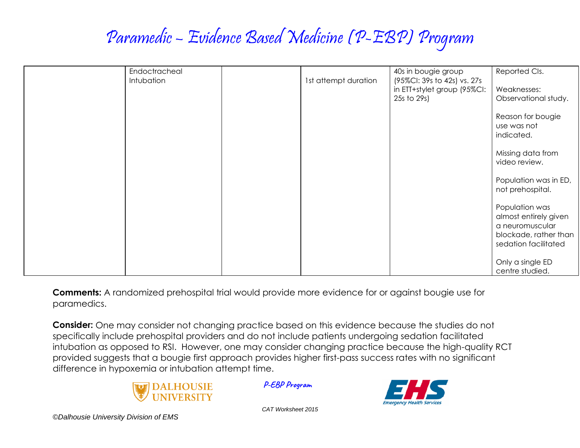## Paramedic – Evidence Based Medicine (P-EBP) Program

| Endoctracheal<br>Intubation | 1st attempt duration | 40s in bougie group<br>(95%CI: 39s to 42s) vs. 27s | Reported Cls.                                 |
|-----------------------------|----------------------|----------------------------------------------------|-----------------------------------------------|
|                             |                      | in ETT+stylet group (95%CI:                        | Weaknesses:                                   |
|                             |                      | 25s to 29s)                                        | Observational study.                          |
|                             |                      |                                                    | Reason for bougie<br>use was not              |
|                             |                      |                                                    | indicated.                                    |
|                             |                      |                                                    | Missing data from                             |
|                             |                      |                                                    | video review.                                 |
|                             |                      |                                                    | Population was in ED,                         |
|                             |                      |                                                    | not prehospital.                              |
|                             |                      |                                                    | Population was<br>almost entirely given       |
|                             |                      |                                                    | a neuromuscular                               |
|                             |                      |                                                    | blockade, rather than<br>sedation facilitated |
|                             |                      |                                                    |                                               |
|                             |                      |                                                    | Only a single ED<br>centre studied.           |

**Comments:** A randomized prehospital trial would provide more evidence for or against bougie use for paramedics.

**Consider:** One may consider not changing practice based on this evidence because the studies do not specifically include prehospital providers and do not include patients undergoing sedation facilitated intubation as opposed to RSI. However, one may consider changing practice because the high-quality RCT provided suggests that a bougie first approach provides higher first-pass success rates with no significant difference in hypoxemia or intubation attempt time.



 **P-EBP Program**



*CAT Worksheet 2015*